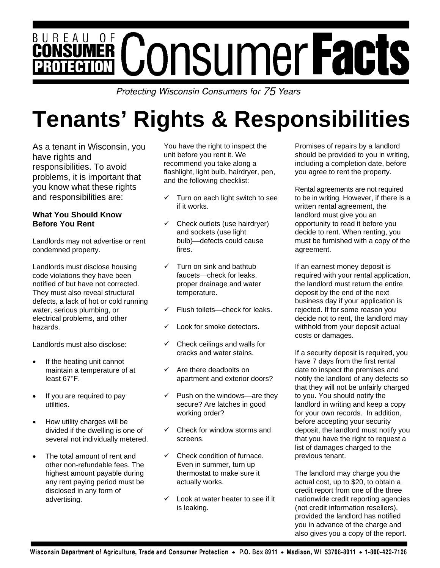# BUREAU OF **CONSUMER CONSUMER Facts**

Protecting Wisconsin Consumers for 75 Years

# **Tenants' Rights & Responsibilities**

As a tenant in Wisconsin, you have rights and responsibilities. To avoid problems, it is important that you know what these rights and responsibilities are:

#### **What You Should Know Before You Rent**

Landlords may not advertise or rent condemned property.

Landlords must disclose housing code violations they have been notified of but have not corrected. They must also reveal structural defects, a lack of hot or cold running water, serious plumbing, or electrical problems, and other hazards.

Landlords must also disclose:

- If the heating unit cannot maintain a temperature of at least 67°F.
- If you are required to pay utilities.
- How utility charges will be divided if the dwelling is one of several not individually metered.
- The total amount of rent and other non-refundable fees. The highest amount payable during any rent paying period must be disclosed in any form of advertising.

You have the right to inspect the unit before you rent it. We recommend you take along a flashlight, light bulb, hairdryer, pen, and the following checklist:

- $\checkmark$  Turn on each light switch to see if it works.
- $\checkmark$  Check outlets (use hairdryer) and sockets (use light bulb) defects could cause fires.
- $\checkmark$  Turn on sink and bathtub faucets—check for leaks. proper drainage and water temperature.
- Flush toilets—check for leaks.
- Look for smoke detectors.
- 9 Check ceilings and walls for cracks and water stains.
- $\checkmark$  Are there deadbolts on apartment and exterior doors?
- $\checkmark$  Push on the windows—are they secure? Are latches in good working order?
- $\checkmark$  Check for window storms and screens.
- $\checkmark$  Check condition of furnace. Even in summer, turn up thermostat to make sure it actually works.
- 9 Look at water heater to see if it is leaking.

Promises of repairs by a landlord should be provided to you in writing, including a completion date, before you agree to rent the property.

Rental agreements are not required to be in writing. However, if there is a written rental agreement, the landlord must give you an opportunity to read it before you decide to rent. When renting, you must be furnished with a copy of the agreement.

If an earnest money deposit is required with your rental application, the landlord must return the entire deposit by the end of the next business day if your application is rejected. If for some reason you decide not to rent, the landlord may withhold from your deposit actual costs or damages.

If a security deposit is required, you have 7 days from the first rental date to inspect the premises and notify the landlord of any defects so that they will not be unfairly charged to you. You should notify the landlord in writing and keep a copy for your own records. In addition, before accepting your security deposit, the landlord must notify you that you have the right to request a list of damages charged to the previous tenant.

The landlord may charge you the actual cost, up to \$20, to obtain a credit report from one of the three nationwide credit reporting agencies (not credit information resellers), provided the landlord has notified you in advance of the charge and also gives you a copy of the report.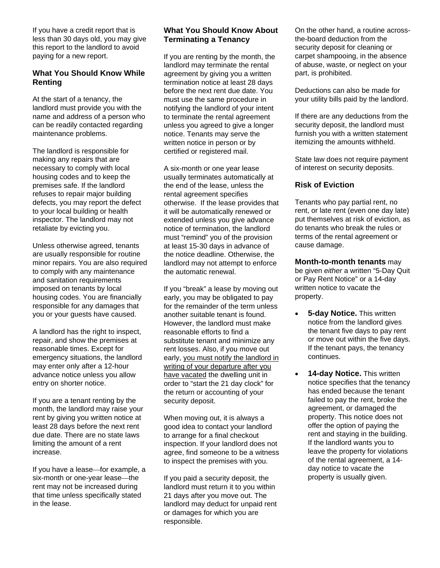If you have a credit report that is less than 30 days old, you may give this report to the landlord to avoid paying for a new report.

#### **What You Should Know While Renting**

At the start of a tenancy, the landlord must provide you with the name and address of a person who can be readily contacted regarding maintenance problems.

The landlord is responsible for making any repairs that are necessary to comply with local housing codes and to keep the premises safe. If the landlord refuses to repair major building defects, you may report the defect to your local building or health inspector. The landlord may not retaliate by evicting you.

Unless otherwise agreed, tenants are usually responsible for routine minor repairs. You are also required to comply with any maintenance and sanitation requirements imposed on tenants by local housing codes. You are financially responsible for any damages that you or your guests have caused.

A landlord has the right to inspect, repair, and show the premises at reasonable times. Except for emergency situations, the landlord may enter only after a 12-hour advance notice unless you allow entry on shorter notice.

If you are a tenant renting by the month, the landlord may raise your rent by giving you written notice at least 28 days before the next rent due date. There are no state laws limiting the amount of a rent increase.

If you have a lease for example, a six-month or one-year lease the rent may not be increased during that time unless specifically stated in the lease.

#### **What You Should Know About Terminating a Tenancy**

If you are renting by the month, the landlord may terminate the rental agreement by giving you a written termination notice at least 28 days before the next rent due date. You must use the same procedure in notifying the landlord of your intent to terminate the rental agreement unless you agreed to give a longer notice. Tenants may serve the written notice in person or by certified or registered mail.

A six-month or one year lease usually terminates automatically at the end of the lease, unless the rental agreement specifies otherwise. If the lease provides that it will be automatically renewed or extended unless you give advance notice of termination, the landlord must "remind" you of the provision at least 15-30 days in advance of the notice deadline. Otherwise, the landlord may not attempt to enforce the automatic renewal.

If you "break" a lease by moving out early, you may be obligated to pay for the remainder of the term unless another suitable tenant is found. However, the landlord must make reasonable efforts to find a substitute tenant and minimize any rent losses. Also, if you move out early, you must notify the landlord in writing of your departure after you have vacated the dwelling unit in order to "start the 21 day clock" for the return or accounting of your security deposit.

When moving out, it is always a good idea to contact your landlord to arrange for a final checkout inspection. If your landlord does not agree, find someone to be a witness to inspect the premises with you.

If you paid a security deposit, the landlord must return it to you within 21 days after you move out. The landlord may deduct for unpaid rent or damages for which you are responsible.

On the other hand, a routine acrossthe-board deduction from the security deposit for cleaning or carpet shampooing, in the absence of abuse, waste, or neglect on your part, is prohibited.

Deductions can also be made for your utility bills paid by the landlord.

If there are any deductions from the security deposit, the landlord must furnish you with a written statement itemizing the amounts withheld.

State law does not require payment of interest on security deposits.

#### **Risk of Eviction**

Tenants who pay partial rent, no rent, or late rent (even one day late) put themselves at risk of eviction, as do tenants who break the rules or terms of the rental agreement or cause damage.

**Month-to-month tenants** may be given *either* a written "5-Day Quit or Pay Rent Notice" or a 14-day written notice to vacate the property.

- **5-day Notice.** This written notice from the landlord gives the tenant five days to pay rent or move out within the five days. If the tenant pays, the tenancy continues.
- **14-day Notice.** This written notice specifies that the tenancy has ended because the tenant failed to pay the rent, broke the agreement, or damaged the property. This notice does not offer the option of paying the rent and staying in the building. If the landlord wants you to leave the property for violations of the rental agreement, a 14 day notice to vacate the property is usually given.